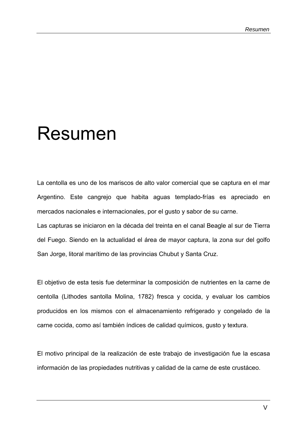## Resumen

La centolla es uno de los mariscos de alto valor comercial que se captura en el mar Argentino. Este cangrejo que habita aguas templado-frías es apreciado en mercados nacionales e internacionales, por el gusto y sabor de su carne.

Las capturas se iniciaron en la década del treinta en el canal Beagle al sur de Tierra del Fuego. Siendo en la actualidad el área de mayor captura, la zona sur del golfo San Jorge, litoral marítimo de las provincias Chubut y Santa Cruz.

El objetivo de esta tesis fue determinar la composición de nutrientes en la carne de centolla (Lithodes santolla Molina, 1782) fresca y cocida, y evaluar los cambios producidos en los mismos con el almacenamiento refrigerado y congelado de la carne cocida, como así también índices de calidad químicos, gusto y textura.

El motivo principal de la realización de este trabajo de investigación fue la escasa información de las propiedades nutritivas y calidad de la carne de este crustáceo.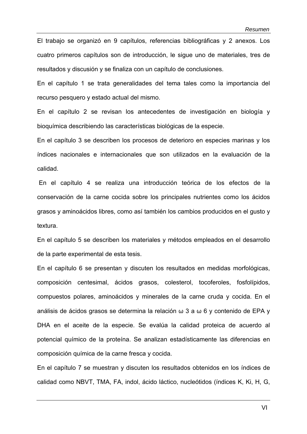El trabajo se organizó en 9 capítulos, referencias bibliográficas y 2 anexos. Los cuatro primeros capítulos son de introducción, le sigue uno de materiales, tres de resultados y discusión y se finaliza con un capítulo de conclusiones.

En el capítulo 1 se trata generalidades del tema tales como la importancia del recurso pesquero y estado actual del mismo.

En el capítulo 2 se revisan los antecedentes de investigación en biología y bioquímica describiendo las características biológicas de la especie.

En el capítulo 3 se describen los procesos de deterioro en especies marinas y los índices nacionales e internacionales que son utilizados en la evaluación de la calidad.

 En el capítulo 4 se realiza una introducción teórica de los efectos de la conservación de la carne cocida sobre los principales nutrientes como los ácidos grasos y aminoácidos libres, como así también los cambios producidos en el gusto y textura.

En el capítulo 5 se describen los materiales y métodos empleados en el desarrollo de la parte experimental de esta tesis.

En el capítulo 6 se presentan y discuten los resultados en medidas morfológicas, composición centesimal, ácidos grasos, colesterol, tocoferoles, fosfolípidos, compuestos polares, aminoácidos y minerales de la carne cruda y cocida. En el análisis de ácidos grasos se determina la relación ω 3 a ω 6 y contenido de EPA y DHA en el aceite de la especie. Se evalúa la calidad proteica de acuerdo al potencial químico de la proteína. Se analizan estadísticamente las diferencias en composición química de la carne fresca y cocida.

En el capítulo 7 se muestran y discuten los resultados obtenidos en los índices de calidad como NBVT, TMA, FA, indol, ácido láctico, nucleótidos (índices K, Ki, H, G,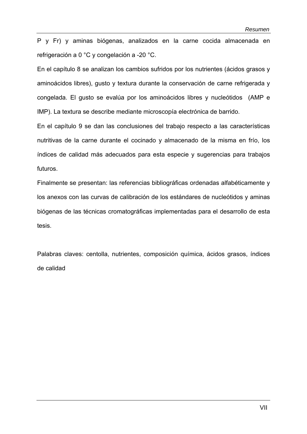P y Fr) y aminas biógenas, analizados en la carne cocida almacenada en refrigeración a 0 °C y congelación a -20 °C.

En el capítulo 8 se analizan los cambios sufridos por los nutrientes (ácidos grasos y aminoácidos libres), gusto y textura durante la conservación de carne refrigerada y congelada. El gusto se evalúa por los aminoácidos libres y nucleótidos (AMP e IMP). La textura se describe mediante microscopía electrónica de barrido.

En el capítulo 9 se dan las conclusiones del trabajo respecto a las características nutritivas de la carne durante el cocinado y almacenado de la misma en frío, los índices de calidad más adecuados para esta especie y sugerencias para trabajos futuros.

Finalmente se presentan: las referencias bibliográficas ordenadas alfabéticamente y los anexos con las curvas de calibración de los estándares de nucleótidos y aminas biógenas de las técnicas cromatográficas implementadas para el desarrollo de esta tesis.

Palabras claves: centolla, nutrientes, composición química, ácidos grasos, índices de calidad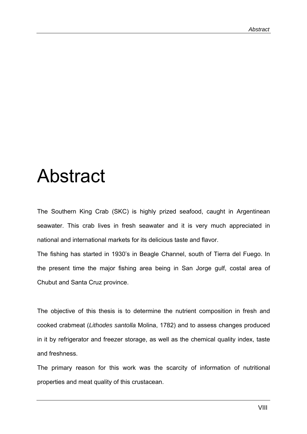## Abstract

The Southern King Crab (SKC) is highly prized seafood, caught in Argentinean seawater. This crab lives in fresh seawater and it is very much appreciated in national and international markets for its delicious taste and flavor.

The fishing has started in 1930's in Beagle Channel, south of Tierra del Fuego. In the present time the major fishing area being in San Jorge gulf, costal area of Chubut and Santa Cruz province.

The objective of this thesis is to determine the nutrient composition in fresh and cooked crabmeat (*Lithodes santolla* Molina, 1782) and to assess changes produced in it by refrigerator and freezer storage, as well as the chemical quality index, taste and freshness.

The primary reason for this work was the scarcity of information of nutritional properties and meat quality of this crustacean.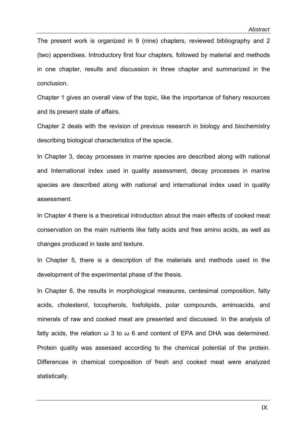The present work is organized in 9 (nine) chapters, reviewed bibliography and 2 (two) appendixes. Introductory first four chapters, followed by material and methods in one chapter, results and discussion in three chapter and summarized in the conclusion.

Chapter 1 gives an overall view of the topic, like the importance of fishery resources and its present state of affairs.

Chapter 2 deals with the revision of previous research in biology and biochemistry describing biological characteristics of the specie.

In Chapter 3, decay processes in marine species are described along with national and International index used in quality assessment, decay processes in marine species are described along with national and international index used in quality assessment.

In Chapter 4 there is a theoretical introduction about the main effects of cooked meat conservation on the main nutrients like fatty acids and free amino acids, as well as changes produced in taste and texture.

In Chapter 5, there is a description of the materials and methods used in the development of the experimental phase of the thesis.

In Chapter 6, the results in morphological measures, centesimal composition, fatty acids, cholesterol, tocopherols, fosfolipids, polar compounds, aminoacids, and minerals of raw and cooked meat are presented and discussed. In the analysis of fatty acids, the relation  $\omega$  3 to  $\omega$  6 and content of EPA and DHA was determined. Protein quality was assessed according to the chemical potential of the protein. Differences in chemical composition of fresh and cooked meat were analyzed statistically.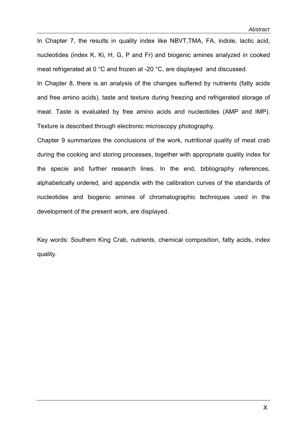In Chapter 7, the results in quality index like NBVT,TMA, FA, indole, lactic acid, nucleotides (index K, Ki, H, G, P and Fr) and biogenic amines analyzed in cooked meat refrigerated at 0 °C and frozen at -20 °C, are displayed and discussed.

In Chapter 8, there is an analysis of the changes suffered by nutrients (fatty acids and free amino acids), taste and texture during freezing and refrigerated storage of meat. Taste is evaluated by free amino acids and nucleotides (AMP and IMP). Texture is described through electronic microscopy photography.

Chapter 9 summarizes the conclusions of the work, nutritional quality of meat crab during the cooking and storing processes, together with appropriate quality index for the specie and further research lines. In the end, bibliography references, alphabetically ordered, and appendix with the calibration curves of the standards of nucleotides and biogenic amines of chromatographic techniques used in the development of the present work, are displayed.

Key words: Southern King Crab, nutrients, chemical composition, fatty acids, index quality.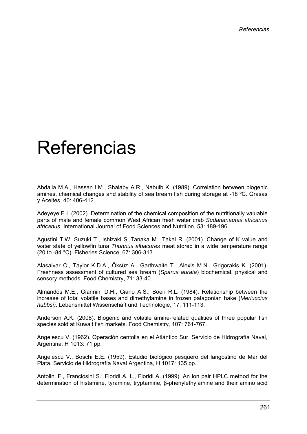## Referencias

Abdalla M.A., Hassan I.M., Shalaby A.R., Nabuib K. (1989). Correlation between biogenic amines, chemical changes and stability of sea bream fish during storage at -18 ºC. Grasas y Aceites, 40: 406-412.

Adeyeye E.I. (2002). Determination of the chemical composition of the nutritionally valuable parts of male and female common West African fresh water crab *Sudananautes africanus africanus.* International Journal of Food Sciences and Nutrition, 53: 189-196.

Agustini T.W, Suzuki T., Ishizaki S.,Tanaka M., Takai R. (2001). Change of K value and water state of yellowfin tuna *Thunnus albacores* meat stored in a wide temperature range (20 to -84 °C). Fisheries Science, 67: 306-313.

Alasalvar C., Taylor K.D.A., Öksüz A., Garthwaite T., Alexis M.N., Grigorakis K. (2001). Freshness assessment of cultured sea bream (*Sparus aurata*) biochemical, physical and sensory methods. Food Chemistry, 71: 33-40.

Almandós M.E., Giannini D.H., Ciarlo A.S., Boeri R.L. (1984). Relationship between the increase of total volatile bases and dimethylamine in frozen patagonian hake (*Merluccius hubbsi)*. Lebensmittel Wissenschaft und Technologie, 17: 111-113.

Anderson A.K. (2008). Biogenic and volatile amine-related qualities of three popular fish species sold at Kuwait fish markets. Food Chemistry*,* 107: 761-767.

Angelescu V. (1962). Operación centolla en el Atlántico Sur. Servicio de Hidrografía Naval, Argentina, H 1013: 71 pp.

Angelescu V., Boschi E.E. (1959). Estudio biológico pesquero del langostino de Mar del Plata. Servicio de Hidrografía Naval Argentina, H 1017: 135 pp.

Antolini F., Franciosini S., Floridi A. L., Floridi A. (1999). An ion pair HPLC method for the determination of histamine, tyramine, tryptamine, β-phenylethylamine and their amino acid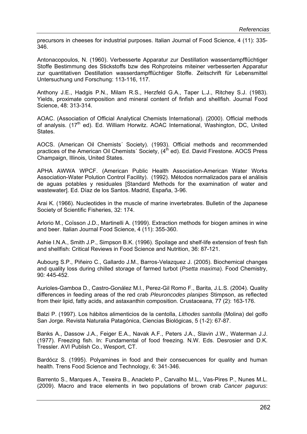precursors in cheeses for industrial purposes. Italian Journal of Food Science, 4 (11): 335- 346.

Antonacopoulos, N. (1960). Verbesserte Apparatur zur Destillation wasserdampfflüchtiger Stoffe Bestimmung des Stickstoffs bzw des Rohproteins miteiner verbesserten Apparatur zur quantitativen Destillation wasserdampfflüchtiger Stoffe. Zeitschrift für Lebensmittel Untersuchung und Forschung: 113-116, 117.

Anthony J.E., Hadgis P.N., Milam R.S., Herzfeld G.A., Taper L.J., Ritchey S.J. (1983). Yields, proximate composition and mineral content of finfish and shellfish. Journal Food Science, 48: 313-314.

AOAC. (Association of Official Analytical Chemists International). (2000). Official methods of analysis.  $(17<sup>th</sup>$  ed). Ed. William Horwitz. AOAC International, Washington, DC, United States.

AOCS. (American Oil Chemists´ Society). (1993). Official methods and recommended practices of the American Oil Chemists´ Society,  $(4<sup>th</sup>$  ed). Ed. David Firestone. AOCS Press Champaign, Illinois, United States.

APHA AWWA WPCF. (American Public Health Association-American Water Works Association-Water Polution Control Facility). (1992). Métodos normalizados para el análisis de aguas potables y residuales [Standard Methods for the examination of water and wastewater]. Ed. Díaz de los Santos. Madrid, España, 3-96.

Arai K. (1966). Nucleotides in the muscle of marine invertebrates. Bulletin of the Japanese Society of Scientific Fisheries, 32: 174.

Arlorio M., Coïsson J.D., Martinelli A. (1999). Extraction methods for biogen amines in wine and beer. Italian Journal Food Science, 4 (11): 355-360.

Ashie I.N.A., Smith J.P., Simpson B.K. (1996). Spoilage and shelf-life extension of fresh fish and shellfish: Critical Reviews in Food Science and Nutrition, 36: 87-121.

Aubourg S.P., Piñeiro C., Gallardo J.M., Barros-Velazquez J. (2005). Biochemical changes and quality loss during chilled storage of farmed turbot (*Psetta maxima*). Food Chemistry, 90*:* 445-452.

Aurioles-Gamboa D., Castro-Gonález M.I., Perez-Gil Romo F., Barita, J.L.S. (2004). Quality differences in feeding areas of the red crab *Pleuroncodes planipes* Stimpson, as reflected from their lipid, fatty acids, and astaxanthin composition. Crustaceana, 77 (2): 163-176.

Balzi P. (1997). Los hábitos alimenticios de la centolla, *Lithodes santolla* (Molina) del golfo San Jorge. Revista Naturalia Patagónica, Ciencias Biológicas, 5 (1-2): 67-87.

Banks A., Dassow J.A., Feiger E.A., Navak A.F., Peters J.A., Slavin J.W., Waterman J.J. (1977). Freezing fish. In: Fundamental of food freezing. N.W. Eds. Desrosier and D.K. Tressler. AVI Publish Co., Wesport, CT.

Bardócz S. (1995). Polyamines in food and their consecuences for quality and human health. Trens Food Science and Technology, 6: 341-346.

Barrento S., Marques A., Texeira B., Anacleto P., Carvalho M.L., Vas-Pires P., Nunes M.L. (2009). Macro and trace elements in two populations of brown crab *Cancer pagurus*: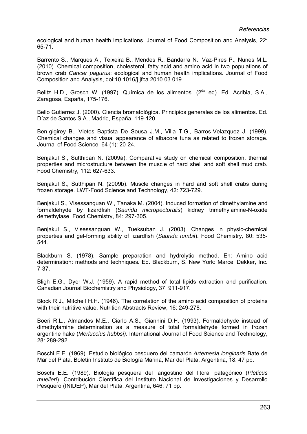ecological and human health implications. Journal of Food Composition and Analysis, 22: 65-71.

Barrento S., Marques A., Teixeira B., Mendes R., Bandarra N., Vaz-Pires P., Nunes M.L. (2010). Chemical composition, cholesterol, fatty acid and amino acid in two populations of brown crab *Cancer pagurus*: ecological and human health implications. Journal of Food Composition and Analysis, doi:10.1016/j.jfca.2010.03.019

Belitz H.D., Grosch W. (1997). Química de los alimentos. ( $2<sup>da</sup>$  ed). Ed. Acribia, S.A., Zaragosa, España, 175-176.

Bello Gutierrez J. (2000). Ciencia bromatológica. Principios generales de los alimentos. Ed. Díaz de Santos S.A., Madrid, España, 119-120.

Ben-gigirey B., Vietes Baptista De Sousa J.M., Villa T.G., Barros-Velazquez J. (1999). Chemical changes and visual appearance of albacore tuna as related to frozen storage. Journal of Food Science, 64 (1): 20-24.

Benjakul S., Sutthipan N. (2009a). Comparative study on chemical composition, thermal properties and microstructure between the muscle of hard shell and soft shell mud crab. Food Chemistry*,* 112: 627-633.

Benjakul S., Sutthipan N. (2009b). Muscle changes in hard and soft shell crabs during frozen storage. LWT-Food Science and Technology, 42: 723-729.

Benjakul S., Visessanguan W., Tanaka M. (2004). Induced formation of dimethylamine and formaldehyde by lizardfish (*Saurida micropectoralis*) kidney trimethylamine-N-oxide demethylase. Food Chemistry, 84: 297-305.

Benjakul S., Visessanguan W., Tueksuban J. (2003). Changes in physic-chemical properties and gel-forming ability of lizardfish (*Saurida tumbil*). Food Chemistry*,* 80: 535- 544.

Blackburn S. (1978). Sample preparation and hydrolytic method. En: Amino acid determination: methods and techniques*.* Ed. Blackburn, S. New York: Marcel Dekker, Inc. 7-37.

Bligh E.G., Dyer W.J. (1959). A rapid method of total lipids extraction and purification. Canadian Journal Biochemistry and Physiology, 37: 911-917.

Block R.J., Mitchell H.H. (1946). The correlation of the amino acid composition of proteins with their nutritive value. Nutrition Abstracts Review, 16: 249-278.

Boeri R.L., Almandos M.E., Ciarlo A.S., Giannini D.H. (1993). Formaldehyde instead of dimethylamine determination as a measure of total formaldehyde formed in frozen argentine hake (*Merluccius hubbsi)*. International Journal of Food Science and Technology, 28: 289-292.

Boschi E.E. (1969). Estudio biológico pesquero del camarón *Artemesia longinaris* Bate de Mar del Plata. Boletín Instituto de Biología Marina, Mar del Plata, Argentina, 18: 47 pp.

Boschi E.E. (1989). Biología pesquera del langostino del litoral patagónico (*Pleticus muelleri*). Contribución Científica del Instituto Nacional de Investigaciones y Desarrollo Pesquero (INIDEP), Mar del Plata, Argentina, 646: 71 pp.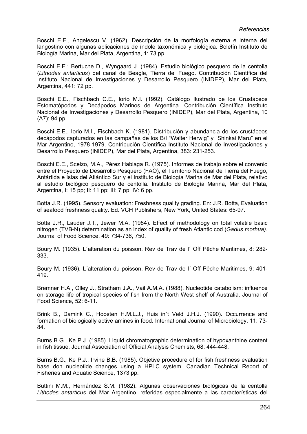Boschi E.E., Angelescu V. (1962). Descripción de la morfología externa e interna del langostino con algunas aplicaciones de índole taxonómica y biológica. Boletín Instituto de Biología Marina, Mar del Plata, Argentina, 1: 73 pp.

Boschi E.E.; Bertuche D., Wyngaard J. (1984). Estudio biológico pesquero de la centolla (*Lithodes antarticus*) del canal de Beagle, Tierra del Fuego. Contribución Científica del Instituto Nacional de Investigaciones y Desarrollo Pesquero (INIDEP), Mar del Plata, Argentina, 441: 72 pp.

Boschi E.E., Fischbach C.E., Iorio M.I. (1992). Catálogo Ilustrado de los Crustáceos Estomatópodos y Decápodos Marinos de Argentina. Contribución Científica Instituto Nacional de Investigaciones y Desarrollo Pesquero (INIDEP), Mar del Plata, Argentina, 10 (A7): 94 pp.

Boschi E.E., Iorio M.I., Fischbach K. (1981). Distribución y abundancia de los crustáceos decápodos capturados en las campañas de los B/I "Walter Herwig" y "Shinkai Maru" en el Mar Argentino, 1978-1979. Contribución Científica Instituto Nacional de Investigaciones y Desarrollo Pesquero (INIDEP), Mar del Plata, Argentina, 383: 231-253.

Boschi E.E., Scelzo, M.A., Pérez Habiaga R. (1975). Informes de trabajo sobre el convenio entre el Proyecto de Desarrollo Pesquero (FAO), el Territorio Nacional de Tierra del Fuego, Antártida e Islas del Atlántico Sur y el Instituto de Biología Marina de Mar del Plata, relativo al estudio biológico pesquero de centolla. Instituto de Biología Marina, Mar del Plata, Argentina, I: 15 pp; II: 11 pp; III: 7 pp; IV: 6 pp.

Botta J.R. (1995). Sensory evaluation: Freshness quality grading. En: J.R. Botta, Evaluation of seafood freshness quality. Ed. VCH Publishers, New York, United States: 65-97.

Botta J.R., Lauder J.T., Jewer M.A. (1984). Effect of methodology on total volatile basic nitrogen (TVB-N) determination as an index of quality of fresh Atlantic cod (*Gadus morhua)*. Journal of Food Science, 49: 734-736, 750.

Boury M. (1935). L´alteration du poisson. Rev de Trav de l´ Off Pêche Maritimes, 8: 282- 333.

Boury M. (1936). L´alteration du poisson. Rev de Trav de l´ Off Pêche Maritimes, 9: 401- 419.

Bremner H.A., Olley J., Stratham J.A., Vail A.M.A. (1988). Nucleotide catabolism: influence on storage life of tropical species of fish from the North West shelf of Australia. Journal of Food Science, 52: 6-11.

Brink B., Damirik C., Hoosten H.M.L.J., Huis in´t Veld J.H.J. (1990). Occurrence and formation of biologically active amines in food. International Journal of Microbiology, 11: 73- 84.

Burns B.G., Ke P.J. (1985). Liquid chromatographic determination of hypoxanthine content in fish tissue. Journal Association of Official Analysis Chemists, 68: 444-448.

Burns B.G., Ke P.J., Irvine B.B. (1985). Objetive procedure of for fish freshness evaluation base don nucleotide changes using a HPLC system. Canadian Technical Report of Fisheries and Aquatic Science, 1373 pp.

Buttini M.M., Hernández S.M. (1982). Algunas observaciones biológicas de la centolla *Lithodes antarticus* del Mar Argentino, referidas especialmente a las características del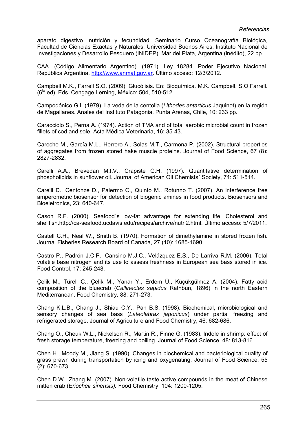aparato digestivo, nutrición y fecundidad. Seminario Curso Oceanografía Biológica, Facultad de Ciencias Exactas y Naturales, Universidad Buenos Aires. Instituto Nacional de Investigaciones y Desarrollo Pesquero (INIDEP), Mar del Plata, Argentina (inédito), 22 pp.

CAA. (Código Alimentario Argentino). (1971). Ley 18284. Poder Ejecutivo Nacional. República Argentina. http://www.anmat.gov.ar. Último acceso: 12/3/2012.

Campbell M.K., Farrell S.O. (2009). Glucólisis. En: Bioquímica. M.K. Campbell, S.O.Farrell.  $(6^{ta}$  ed). Eds. Cengage Lerning, México: 504, 510-512.

Campodónico G.I. (1979). La veda de la centolla (*Lithodes antarticus* Jaquinot) en la región de Magallanes. Anales del Instituto Patagonia. Punta Arenas, Chile, 10: 233 pp.

Caracciolo S., Perna A. (1974). Action of TMA and of total aerobic microbial count in frozen fillets of cod and sole. Acta Médica Veterinaria, 16: 35-43.

Careche M., García M.L., Herrero A., Solas M.T., Carmona P. (2002). Structural properties of aggregates from frozen stored hake muscle proteins. Journal of Food Science, 67 (8): 2827-2832.

Carelli A.A., Brevedan M.I.V., Crapiste G.H. (1997). Quantitative determination of phospholipids in sunflower oil. Journal of American Oil Chemists´ Society, 74: 511-514.

Carelli D., Centonze D., Palermo C., Quinto M., Rotunno T. (2007). An interference free amperometric biosensor for detection of biogenic amines in food products. Biosensors and Bioeletronics, 23: 640-647.

Cason R.F. (2000). Seafood´s low-fat advantage for extending life: Cholesterol and shellfish.http://ca-seafood.ucdavis.edu/recipes/archive/nutri2.html. Último acceso: 5/7/2011.

Castell C.H., Neal W., Smith B. (1970). Formation of dimethylamine in stored frozen fish. Journal Fisheries Research Board of Canada, 27 (10): 1685-1690.

Castro P., Padrón J.C.P., Cansino M.J.C., Velázquez E.S., De Larriva R.M. (2006). Total volatile base nitrogen and its use to assess freshness in European sea bass stored in ice. Food Control, 17: 245-248.

Çelik M., Türeli C., Çelik M., Yanar Y., Erdem Ü., Küçükgülmez A. (2004). Fatty acid composition of the bluecrab (*Callinectes sapidus* Rathbun, 1896) in the north Eastern Mediterranean. Food Chemistry*,* 88: 271-273.

Chang K.L.B., Chang J., Shiau C.Y., Pan B.S. (1998). Biochemical, microbiological and sensory changes of sea bass (*Lateolabrax japonicus*) under partial freezing and refrigerated storage. Journal of Agriculture and Food Chemistry, 46: 682-686.

Chang O., Cheuk W.L., Nickelson R., Martin R., Finne G. (1983). Indole in shrimp: effect of fresh storage temperature, freezing and boiling. Journal of Food Science, 48: 813-816.

Chen H., Moody M., Jiang S. (1990). Changes in biochemical and bacteriological quality of grass prawn during transportation by icing and oxygenating. Journal of Food Science, 55 (2): 670-673.

Chen D.W., Zhang M. (2007). Non-volatile taste active compounds in the meat of Chinese mitten crab (*Eriocheir sinensis).* Food Chemistry, 104: 1200-1205.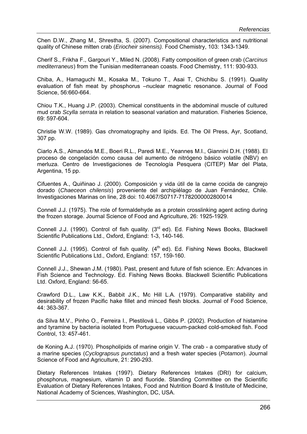Chen D.W., Zhang M., Shrestha, S. (2007). Compositional characteristics and nutritional quality of Chinese mitten crab (*Eriocheir sinensis).* Food Chemistry, 103: 1343-1349.

Cherif S., Frikha F., Gargouri Y., Miled N. (2008). Fatty composition of green crab (*Carcinus mediterraneus*) from the Tunisian mediterranean coasts. Food Chemistry, 111: 930-933.

Chiba, A., Hamaguchi M., Kosaka M., Tokuno T., Asai T, Chichibu S. (1991). Quality evaluation of fish meat by phosphorus –nuclear magnetic resonance. Journal of Food Science, 56:660-664.

Chiou T.K., Huang J.P. (2003). Chemical constituents in the abdominal muscle of cultured mud crab *Scylla serrata* in relation to seasonal variation and maturation. Fisheries Science, 69: 597-604.

Christie W.W. (1989). Gas chromatography and lipids. Ed. The Oil Press, Ayr, Scotland, 307 pp.

Ciarlo A.S., Almandós M.E., Boeri R.L., Paredi M.E., Yeannes M.I., Giannini D.H. (1988). El proceso de congelación como causa del aumento de nitrógeno básico volatile (NBV) en merluza. Centro de Investigaciones de Tecnología Pesquera (CITEP) Mar del Plata, Argentina, 15 pp.

Cifuentes A., Quiñinao J. (2000). Composición y vida útil de la carne cocida de cangrejo dorado (*Chaeceon chilensis*) proveniente del archipiélago de Juan Fernández, Chile. Investigaciones Marinas on line, 28 doi: 10.4067/S0717-71782000002800014

Connell J.J. (1975). The role of formaldehyde as a protein crosslinking agent acting during the frozen storage. Journal Science of Food and Agriculture, 26: 1925-1929.

Connell J.J. (1990). Control of fish quality. (3<sup>rd</sup> ed). Ed. Fishing News Books, Blackwell Scientific Publications Ltd., Oxford, England: 1-3, 140-146.

Connell J.J. (1995). Control of fish quality.  $(4<sup>th</sup>$  ed). Ed. Fishing News Books, Blackwell Scientific Publications Ltd., Oxford, England: 157, 159-160.

Connell J.J., Shewan J.M. (1980). Past, present and future of fish science. En: Advances in Fish Science and Technology. Ed. Fishing News Books. Blackwell Scientific Publications Ltd. Oxford, England: 56-65.

Crawford D.L., Law K.K., Babbit J.K., Mc Hill L.A. (1979). Comparative stability and desirability of frozen Pacific hake fillet and minced flesh blocks. Journal of Food Science, 44: 363-367.

da Silva M.V., Pinho O., Ferreira I., Plestilová L., Gibbs P. (2002). Production of histamine and tyramine by bacteria isolated from Portuguese vacuum-packed cold-smoked fish. Food Control, 13: 457-461.

de Koning A.J. (1970). Phospholipids of marine origin V. The crab - a comparative study of a marine species (*Cyclograpsus punctatus*) and a fresh water species (*Potamon*). Journal Science of Food and Agriculture, 21: 290-293.

Dietary References Intakes (1997). Dietary References Intakes (DRI) for calcium, phosphorus, magnesium, vitamin D and fluoride. Standing Committee on the Scientific Evaluation of Dietary References Intakes, Food and Nutrition Board & Institute of Medicine, National Academy of Sciences, Washington, DC, USA.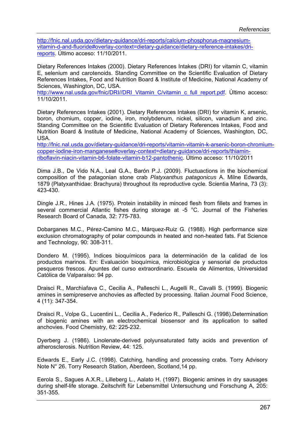http://fnic.nal.usda.gov/dietary-guidance/dri-reports/calcium-phosphorus-magnesiumvitamin-d-and-fluoride#overlay-context=dietary-guidance/dietary-reference-intakes/drireports. Último acceso: 11/10/2011.

Dietary References Intakes (2000). Dietary References Intakes (DRI) for vitamin C, vitamin E, selenium and carotenoids. Standing Committee on the Scientific Evaluation of Dietary References Intakes, Food and Nutrition Board & Institute of Medicine, National Academy of Sciences, Washington, DC, USA.

http://www.nal.usda.gov/fnic/DRI//DRI\_Vitamin\_C/vitamin\_c\_full\_report.pdf. Último acceso: 11/10/2011.

Dietary References Intakes (2001). Dietary References Intakes (DRI) for vitamin K, arsenic, boron, chomium, copper, iodine, iron, molybdenum, nickel, silicon, vanadium and zinc. Standing Committee on the Scientific Evaluation of Dietary References Intakes, Food and Nutrition Board & Institute of Medicine, National Academy of Sciences, Washington, DC, USA.

http://fnic.nal.usda.gov/dietary-guidance/dri-reports/vitamin-vitamin-k-arsenic-boron-chromiumcopper-iodine-iron-manganese#overlay-context=dietary-guidance/dri-reports/thiaminriboflavin-niacin-vitamin-b6-folate-vitamin-b12-pantothenic. Último acceso: 11/10/2011

Dima J.B., De Vido N.A., Leal G.A., Barón P.J. (2009). Fluctuactions in the biochemical composition of the patagonian stone crab *Platyxanthus patagonicus* A. Milne Edwards, 1879 (Platyxanthidae: Brachyura) throughout its reproductive cycle. Scientia Marina, 73 (3): 423-430.

Dingle J.R., Hines J.A. (1975). Protein instability in minced flesh from fillets and frames in several commercial Atlantic fishes during storage at -5 °C. Journal of the Fisheries Research Board of Canada, 32: 775-783.

Dobarganes M.C., Pérez-Camino M.C., Márquez-Ruiz G. (1988). High performance size exclusion chromatography of polar compounds in heated and non-heated fats. Fat Science and Technology, 90: 308-311.

Dondero M. (1995). Indices bioquímicos para la determinación de la calidad de los productos marinos. En: Evaluación bioquímica, microbiológica y sensorial de productos pesqueros frescos. Apuntes del curso extraordinario. Escuela de Alimentos, Universidad Católica de Valparaíso: 94 pp.

Draisci R., Marchiafava C., Cecilia A., Palleschi L., Augelli R., Cavalli S. (1999). Biogenic amines in semipreserve anchovies as affected by processing. Italian Journal Food Science, 4 (11): 347-354.

Draisci R., Volpe G., Lucentini L., Cecilia A., Federico R., Palleschi G. (1998).Determination of biogenic amines with an electrochemical biosensor and its application to salted anchovies. Food Chemistry, 62: 225-232.

Dyerberg J. (1986). Linolenate-derived polyunsaturated fatty acids and prevention of atherosclerosis. Nutrition Review, 44: 125.

Edwards E., Early J.C. (1998). Catching, handling and processing crabs. Torry Advisory Note N° 26. Torry Research Station, Aberdeen, Scotland,14 pp.

Eerola S., Sagues A.X.R., Lilleberg L., Aalato H. (1997). Biogenic amines in dry sausages during shelf-life storage. Zeitschrift für Lebensmittel Untersuchung und Forschung A, 205: 351-355.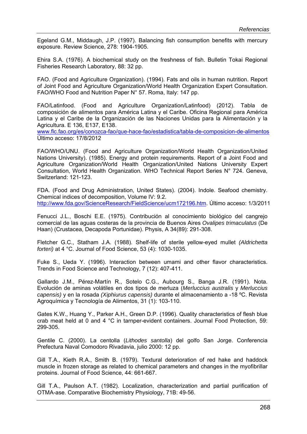Egeland G.M., Middaugh, J.P. (1997). Balancing fish consumption benefits with mercury exposure. Review Science, 278: 1904-1905.

Ehira S.A. (1976). A biochemical study on the freshness of fish. Bulletin Tokai Regional Fisheries Research Laboratory, 88: 32 pp.

FAO. (Food and Agriculture Organization). (1994). Fats and oils in human nutrition. Report of Joint Food and Agriculture Organization/World Health Organization Expert Consultation. FAO/WHO Food and Nutrition Paper N° 57. Roma, Italy: 147 pp.

FAO/Latinfood. (Food and Agriculture Organization/Latinfood) (2012). Tabla de composición de alimentos para América Latina y el Caribe. Oficina Regional para América Latina y el Caribe de la Organización de las Naciones Unidas para la Alimentación y la Agricultura. E 136, E137, E138.

www.flc.fao.org/es/conozca-fao/que-hace-fao/estadistica/tabla-de-composicion-de-alimentos Último acceso: 17/8/2012

FAO/WHO/UNU. (Food and Agriculture Organization/World Health Organization/United Nations University). (1985). Energy and protein requirements. Report of a Joint Food and Agriculture Organization/World Health Organization/United Nations University Expert Consultation, World Health Organization. WHO Technical Report Series N° 724. Geneva, Switzerland: 121-123.

FDA. (Food and Drug Administration, United States). (2004). Indole. Seafood chemistry. Chemical indices of decomposition, Volume IV: 9.2. http://www.fda.gov/ScienceResearch/FieldScience/ucm172196.htm. Último acceso: 1/3/2011

Fenucci J.L., Boschi E.E. (1975). Contribución al conocimiento biológico del cangrejo comercial de las aguas costeras de la provincia de Buenos Aires *Ovalipes trimaculatus* (De Haan) (Crustacea, Decapoda Portunidae). Physis, A 34(89): 291-308.

Fletcher G.C., Statham J.A. (1988). Shelf-life of sterile yellow-eyed mullet *(Aldrichetta forteri)* at 4 °C. Journal of Food Science, 53 (4): 1030-1035.

Fuke S., Ueda Y. (1996). Interaction between umami and other flavor characteristics. Trends in Food Science and Technology, 7 (12): 407-411.

Gallardo J.M., Pérez-Martín R., Sotelo C.G., Aubourg S., Banga J.R. (1991). Nota. Evolución de aminas volátiles en dos tipos de merluza (*Merluccius australis* y *Merluccius capensis)* y en la rosada *(Xiphiurus capensis)* durante el almacenamiento a -18 ºC. Revista Agroquímica y Tecnología de Alimentos, 31 (1): 103-110.

Gates K.W., Huang Y., Parker A.H., Green D.P. (1996). Quality characteristics of flesh blue crab meat held at 0 and 4 °C in tarnper-evident containers. Journal Food Protection, 59: 299-305.

Gentile C. (2000). La centolla (*Lithodes santolla*) del golfo San Jorge. Conferencia Prefectura Naval Comodoro Rivadavia, julio 2000: 12 pp.

Gill T.A., Kieth R.A., Smith B. (1979). Textural deterioration of red hake and haddock muscle in frozen storage as related to chemical parameters and changes in the myofibrillar proteins. Journal of Food Science, 44: 661-667.

Gill T.A., Paulson A.T. (1982). Localization, characterization and partial purification of OTMA-ase. Comparative Biochemistry Physiology, 71B: 49-56.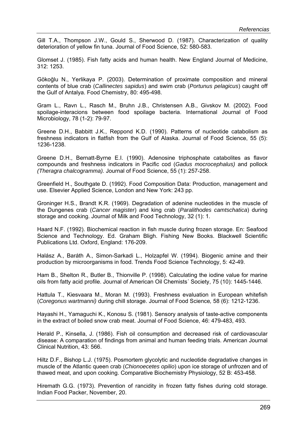Gill T.A., Thompson J.W., Gould S., Sherwood D. (1987). Characterization of quality deterioration of yellow fin tuna. Journal of Food Science, 52: 580-583.

Glomset J. (1985). Fish fatty acids and human health. New England Journal of Medicine, 312: 1253.

Gökoğlu N., Yerlikaya P. (2003). Determination of proximate composition and mineral contents of blue crab (*Callinectes sapidus*) and swim crab (*Portunus pelagicus*) caught off the Gulf of Antalya. Food Chemistry, 80: 495-498.

Gram L., Ravn L., Rasch M., Bruhn J.B., Christensen A.B., Givskov M. (2002). Food spoilage-interacions between food spoilage bacteria. International Journal of Food Microbiology, 78 (1-2): 79-97.

Greene D.H., Babbitt J.K., Reppond K.D. (1990). Patterns of nucleotide catabolism as freshness indicators in flatfish from the Gulf of Alaska. Journal of Food Science, 55 (5): 1236-1238.

Greene D.H., Bernatt-Byrne E.I. (1990). Adenosine triphosphate catabolites as flavor compounds and freshness indicators in Pacific cod (*Gadus mocrocephalus)* and pollock *(Theragra chalcogramma).* Journal of Food Science, 55 (1): 257-258.

Greenfield H., Southgate D. (1992). Food Composition Data: Production, management and use. Elsevier Applied Science, London and New York: 243 pp.

Groninger H.S., Brandt K.R. (1969). Degradation of adenine nucleotides in the muscle of the Dungenes crab (*Cancer magister*) and king crab (*Paralithodes camtschatica*) during storage and cooking. Journal of Milk and Food Technology, 32 (1): 1.

Haard N.F. (1992). Biochemical reaction in fish muscle during frozen storage. En: Seafood Science and Technology. Ed. Graham Bligh. Fishing New Books. Blackwell Scientific Publications Ltd. Oxford, England: 176-209.

Halász A., Baráth A., Simon-Sarkadi L., Holzapfel W. (1994). Biogenic amine and their production by microorganisms in food. Trends Food Science Technology, 5: 42-49.

Ham B., Shelton R., Butler B., Thionville P. (1998). Calculating the iodine value for marine oils from fatty acid profile. Journal of American Oil Chemists´ Society, 75 (10): 1445-1446.

Hattula T., Kiesvaara M., Moran M. (1993). Freshness evaluation in European whitefish (*Coregonus wartmanni)* during chill storage. Journal of Food Science*,* 58 (6): 1212-1236.

Hayashi H., Yamaguchi K., Konosu S. (1981). Sensory analysis of taste-active components in the extract of boiled snow crab meat. Journal of Food Science, 46: 479-483, 493.

Herald P., Kinsella, J. (1986). Fish oil consumption and decreased risk of cardiovascular disease: A comparation of findings from animal and human feeding trials. American Journal Clinical Nutrition, 43: 566.

Hiltz D.F., Bishop L.J. (1975). Posmortem glycolytic and nucleotide degradative changes in muscle of the Atlantic queen crab (*Chionoecetes opilio*) upon ice storage of unfrozen and of thawed meat, and upon cooking. Comparative Biochemistry Physiology, 52 B: 453-458.

Hiremath G.G. (1973). Prevention of rancidity in frozen fatty fishes during cold storage. Indian Food Packer, November, 20.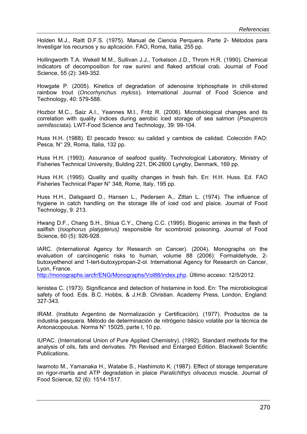Holden M.J., Raitt D.F.S. (1975). Manual de Ciencia Perquera. Parte 2- Métodos para Investigar los recursos y su aplicación. FAO, Roma, Italia, 255 pp.

Hollingworth T.A. Wekell M.M., Sullivan J.J., Torkelson J.D., Throm H.R. (1990). Chemical indicators of decomposition for raw surimi and flaked artificial crab. Journal of Food Science, 55 (2): 349-352.

Howgate P. (2005). Kinetics of degradation of adenosine triphosphate in chill-stored rainbow trout (*Oncorhynchus mykiss*). International Journal of Food Science and Technology, 40: 579-588.

Hozbor M.C., Saiz A.I., Yeannes M.I., Fritz R. (2006). Microbiological changes and its correlation with quality índices during aerobic iced storage of sea salmon (*Pseupercis semifasciata*). LWT-Food Science and Technology, 39: 99-104.

Huss H.H. (1988). El pescado fresco: su calidad y cambios de calidad. Colección FAO: Pesca, N° 29, Roma, Italia, 132 pp.

Huss H.H. (1993). Assurance of seafood quality. Technological Laboratory, Ministry of Fisheries Technical University, Bulding 221, DK-2800 Lyngby, Denmark, 169 pp.

Huss H.H. (1995). Quality and quality changes in fresh fish. En: H.H. Huss. Ed. FAO Fisheries Technical Paper N° 348, Rome, Italy, 195 pp.

Huss H.H., Dalsgaard D., Hansen L., Pedersen A., Zittan L. (1974). The influence of hygiene in catch handling on the storage life of iced cod and plaice. Journal of Food Technology, 9: 213.

Hwang D.F., Chang S.H., Shiua C.Y., Cheng C.C. (1995). Biogenic amines in the flesh of sailfish (*Isiophorus platypterus)* responsible for scombroid poisoning. Journal of Food Science, 60 (5): 926-928.

IARC. (International Agency for Research on Cancer). (2004). Monographs on the evaluation of carcinogenic risks to human, volume 88 (2006): Formaldehyde, 2 butoxyethenol and 1-tert-butoxypropan-2-ol. International Agency for Research on Cancer, Lyon, France.

http://monographs.iarcfr/ENG/Monographs/Vol88/index.php. Último acceso: 12/5/2012.

Ienistea C. (1973). Significance and detection of histamine in food. En: The microbiological safety of food. Eds. B.C. Hobbs, & J.H.B. Christian. Academy Press, London, England: 327-343.

IRAM. (Instituto Argentino de Normalización y Certificación). (1977). Productos de la industria pesquera. Método de determinación de nitrógeno básico volatile por la técnica de Antonacopoulus. Norma N° 15025, parte I, 10 pp.

IUPAC. (International Union of Pure Applied Chemistry). (1992). Standard methods for the analysis of oils, fats and derivates. 7th Revised and Enlarged Edition. Blackwell Scientific Publications.

Iwamoto M., Yamanaka H., Watabe S., Hashimoto K. (1987). Effect of storage temperature on rigor-martis and ATP degradation in plaice *Paralichthys olivaceus* muscle. Journal of Food Science, 52 (6): 1514-1517.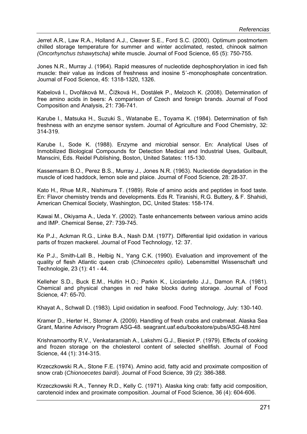Jerret A.R., Law R.A., Holland A.J., Cleaver S.E., Ford S.C. (2000). Optimum postmortem chilled storage temperature for summer and winter acclimated, rested, chinook salmon *(Oncorhynchus tshawytscha)* white muscle. Journal of Food Science, 65 (5): 750-755.

Jones N.R., Murray J. (1964). Rapid measures of nucleotide dephosphorylation in iced fish muscle: their value as índices of freshness and inosine 5´-monophosphate concentration. Journal of Food Science, 45: 1318-1320, 1326.

Kabelová I., Dvořáková M., Čížková H., Dostálek P., Melzoch K. (2008). Determination of free amino acids in beers: A comparison of Czech and foreign brands. Journal of Food Composition and Analysis, 21: 736-741.

Karube I., Matsuka H., Suzuki S., Watanabe E., Toyama K. (1984). Determination of fish freshness with an enzyme sensor system. Journal of Agriculture and Food Chemistry, 32: 314-319.

Karube I., Sode K. (1988). Enzyme and microbial sensor. En: Analytical Uses of Inmobilized Biological Compounds for Detection Medical and Industrial Uses, Guilbault, Manscini, Eds. Reidel Publishing, Boston, United Satates: 115-130.

Kassemsarn B.O., Perez B.S., Murray J., Jones N.R. (1963). Nucleotide degradation in the muscle of iced haddock, lemon sole and plaice. Journal of Food Science, 28: 28-37.

Kato H., Rhue M.R., Nishimura T. (1989). Role of amino acids and peptides in food taste. En: Flavor chemistry trends and developments. Eds R. Tiranishi, R.G. Buttery, & F. Shahidi, American Chemical Society, Washington, DC, United States: 158-174.

Kawai M., Okiyama A., Ueda Y. (2002). Taste enhancements between various amino acids and IMP. Chemical Sense, 27: 739-745.

Ke P.J., Ackman R.G., Linke B.A., Nash D.M. (1977). Differential lipid oxidation in various parts of frozen mackerel. Journal of Food Technology, 12: 37.

Ke P.J., Smith-Lall B., Helbig N., Yang C.K. (1990). Evaluation and improvement of the quality of flesh Atlantic queen crab (*Chinoecetes opilio*). Lebensmittel Wissenschaft und Technologie, 23 (1): 41 - 44.

Kelleher S.D., Buck E.M., Hultin H.O.; Parkin K., Licciardello J.J., Damon R.A. (1981). Chemical and physical changes in red hake blocks during storage. Journal of Food Science*,* 47: 65-70.

Khayat A., Schwall D. (1983). Lipid oxidation in seafood. Food Technology, July: 130-140.

Kramer D., Herter H., Storner A. (2009). Handling of fresh crabs and crabmeat. Alaska Sea Grant, Marine Advisory Program ASG-48. seagrant.uaf.edu/bookstore/pubs/ASG-48.html

Krishnamoorthy R.V., Venkataramiah A., Lakshmi G.J., Biesiot P. (1979). Effects of cooking and frozen storage on the cholesterol content of selected shellfish. Journal of Food Science, 44 (1): 314-315.

Krzeczkowski R.A., Stone F.E. (1974). Amino acid, fatty acid and proximate composition of snow crab (*Chionoecetes bairdi*). Journal of Food Science*,* 39 (2): 386-388.

Krzeczkowski R.A., Tenney R.D., Kelly C. (1971). Alaska king crab: fatty acid composition, carotenoid index and proximate composition. Journal of Food Science*,* 36 (4): 604-606.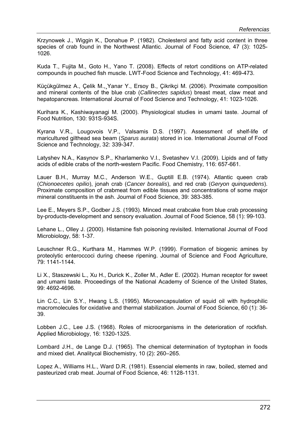Krzynowek J., Wiggin K., Donahue P. (1982). Cholesterol and fatty acid content in three species of crab found in the Northwest Atlantic. Journal of Food Science, 47 (3): 1025- 1026.

Kuda T., Fujita M., Goto H., Yano T. (2008). Effects of retort conditions on ATP-related compounds in pouched fish muscle. LWT-Food Science and Technology, 41: 469-473.

Küçükgülmez A., Çelik M.,¸Yanar Y., Ersoy B., Çikrikçi M. (2006). Proximate composition and mineral contents of the blue crab (*Callinectes sapidus*) breast meat, claw meat and hepatopancreas. International Journal of Food Science and Technology, 41: 1023-1026.

Kurihara K., Kashiwayanagi M. (2000). Physiological studies in umami taste. Journal of Food Nutrition, 130: 931S-934S.

Kyrana V.R., Lougovois V.P., Valsamis D.S. (1997). Assessment of shelf-life of maricultured gilthead sea beam (*Sparus aurata*) stored in ice. International Journal of Food Science and Technology, 32: 339-347.

Latyshev N.A., Kasynov S.P., Kharlamenko V.I., Svetashev V.I. (2009). Lipids and of fatty acids of edible crabs of the north-western Pacific. Food Chemistry, 116: 657-661.

Lauer B.H., Murray M.C., Anderson W.E., Guptill E.B. (1974). Atlantic queen crab (*Chionoecetes opilio*), jonah crab (*Cancer borealis*), and red crab (*Geryon quinquedens*). Proximate composition of crabmeat from edible tissues and concentrations of some major mineral constituents in the ash. Journal of Food Science, 39: 383-385.

Lee E., Meyers S.P., Godber J.S. (1993). Minced meat crabcake from blue crab processing by-products-development and sensory evaluation. Journal of Food Science, 58 (1): 99-103.

Lehane L., Olley J. (2000). Histamine fish poisoning revisited. International Journal of Food Microbiology, 58: 1-37.

Leuschner R.G., Kurthara M., Hammes W.P. (1999). Formation of biogenic amines by proteolytic enteroccoci during cheese ripening. Journal of Science and Food Agriculture, 79: 1141-1144.

Li X., Staszewski L., Xu H., Durick K., Zoller M., Adler E. (2002). Human receptor for sweet and umami taste. Proceedings of the National Academy of Science of the United States, 99: 4692-4696.

Lin C.C., Lin S.Y., Hwang L.S. (1995). Microencapsulation of squid oil with hydrophilic macromolecules for oxidative and thermal stabilization. Journal of Food Science, 60 (1): 36- 39.

Lobben J.C., Lee J.S. (1968). Roles of microorganisms in the deterioration of rockfish. Applied Microbiology, 16: 1320-1325.

Lombard J.H., de Lange D.J. (1965). The chemical determination of tryptophan in foods and mixed diet. Analitycal Biochemistry, 10 (2): 260–265.

Lopez A., Williams H.L., Ward D.R. (1981). Essencial elements in raw, boiled, stemed and pasteurized crab meat. Journal of Food Science, 46: 1128-1131.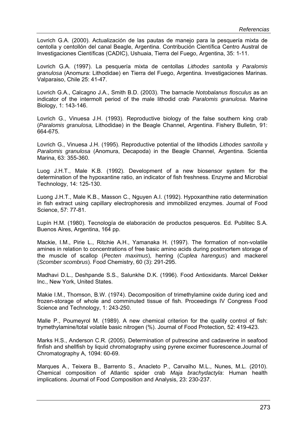Lovrich G.A. (2000). Actualización de las pautas de manejo para la pesquería mixta de centolla y centollón del canal Beagle, Argentina. Contribución Científica Centro Austral de Investigaciones Científicas (CADIC), Ushuaia, Tierra del Fuego, Argentina, 35: 1-11.

Lovrich G.A. (1997). La pesquería mixta de centollas *Lithodes santolla* y *Paralomis granulosa* (Anomura: Lithodidae) en Tierra del Fuego, Argentina. Investigaciones Marinas. Valparaiso, Chile 25: 41-47.

Lovrich G.A., Calcagno J.A., Smith B.D. (2003). The barnacle *Notobalanus flosculus* as an indicator of the intermolt period of the male lithodid crab *Paralomis granulosa.* Marine Biology, 1: 143-146.

Lovrich G., Vinuesa J.H. (1993). Reproductive biology of the false southern king crab (*Paralomis granulosa,* Lithodidae) in the Beagle Channel, Argentina. Fishery Bulletin, 91: 664-675.

Lovrich G., Vinuesa J.H. (1995). Reproductive potential of the lithodids *Lithodes santolla* y *Paralomis granulosa* (Anomura, Decapoda) in the Beagle Channel, Argentina. Scientia Marina, 63: 355-360.

Luog J.H.T., Male K.B. (1992). Development of a new biosensor system for the determination of the hypoxantine ratio, an indicator of fish freshness. Enzyme and Microbial Technology, 14: 125-130.

Luong J.H.T., Male K.B., Masson C., Nguyen A.I. (1992). Hypoxanthine ratio determination in fish extract using capillary electrophoresis and immobilized enzymes. Journal of Food Science, 57: 77-81.

Lupín H.M. (1980). Tecnología de elaboración de productos pesqueros. Ed. Publitec S.A. Buenos Aires, Argentina, 164 pp.

Mackie, I.M., Pirie L., Ritchie A.H., Yamanaka H. (1997). The formation of non-volatile amines in relation to concentrations of free basic amino acids during postmortem storage of the muscle of scallop (*Pecten maximus*), herring (*Cuplea harengus*) and mackerel (*Scomber scombrus*). Food Chemistry, 60 (3): 291-295.

Madhavi D.L., Deshpande S.S., Salunkhe D.K. (1996). Food Antioxidants. Marcel Dekker Inc., New York, United States.

Makie I.M., Thomson, B.W. (1974). Decomposition of trimethylamine oxide during iced and frozen-storage of whole and comminuted tissue of fish. Proceedings IV Congress Food Science and Technology, 1: 243-250.

Malle P., Poumeyrol M. (1989). A new chemical criterion for the quality control of fish: trymethylamine/total volatile basic nitrogen (%). Journal of Food Protection*,* 52: 419-423.

Marks H.S., Anderson C.R. (2005). Determination of putrescine and cadaverine in seafood finfish and shellfish by liquid chromatography using pyrene excimer fluorescence.Journal of Chromatography A, 1094: 60-69.

Marques A., Teixera B., Barrento S., Anacleto P., Carvalho M.L., Nunes, M.L. (2010). Chemical composition of Atlantic spider crab *Maja brachydactyla*: Human health implications. Journal of Food Composition and Analysis, 23: 230-237.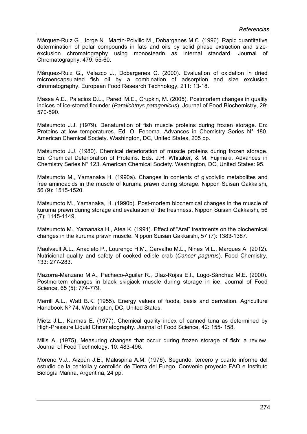Márquez-Ruiz G., Jorge N., Martín-Polvillo M., Dobarganes M.C. (1996). Rapid quantitative determination of polar compounds in fats and oils by solid phase extraction and sizeexclusion chromatography using monostearin as internal standard. Journal of Chromatography, 479: 55-60.

Márquez-Ruiz G., Velazco J., Dobargenes C. (2000). Evaluation of oxidation in dried microencapsulated fish oil by a combination of adsorption and size exclusion chromatography. European Food Research Technology, 211: 13-18.

Massa A.E., Palacios D.L., Paredi M.E., Crupkin, M. (2005). Postmortem changes in quality indices of ice-stored flounder (*Paralichthys patagonicus*). Journal of Food Biochemistry, 29: 570-590.

Matsumoto J.J. (1979). Denaturation of fish muscle proteins during frozen storage. En: Proteins at low temperatures. Ed. O. Fenema. Advances in Chemistry Series N° 180. American Chemical Society. Washington, DC, United States, 205 pp.

Matsumoto J.J. (1980). Chemical deterioration of muscle proteins during frozen storage. En: Chemical Deterioration of Proteins. Eds. J.R. Whitaker, & M. Fujimaki. Advances in Chemistry Series N° 123. American Chemical Society. Washington, DC, United States: 95.

Matsumoto M., Yamanaka H. (1990a). Changes in contents of glycolytic metabolites and free aminoacids in the muscle of kuruma prawn during storage. Nippon Suisan Gakkaishi, 56 (9): 1515-1520.

Matsumoto M., Yamanaka, H. (1990b). Post-mortem biochemical changes in the muscle of kuruma prawn during storage and evaluation of the freshness. Nippon Suisan Gakkaishi, 56 (7): 1145-1149.

Matsumoto M., Yamanaka H., Atea K. (1991). Effect of "Arai" treatments on the biochemical changes in the kuruma prawn muscle. Nippon Suisan Gakkaishi, 57 (7): 1383-1387.

Maulvault A.L., Anacleto P., Lourenço H.M., Carvalho M.L., Nines M.L., Marques A. (2012). Nutricional quality and safety of cooked edible crab (*Cancer pagurus*). Food Chemistry, 133: 277-283.

Mazorra-Manzano M.A., Pacheco-Aguilar R., Díaz-Rojas E.I., Lugo-Sánchez M.E. (2000). Postmortem changes in black skipjack muscle during storage in ice. Journal of Food Science, 65 (5): 774-779.

Merrill A.L., Watt B.K. (1955). Energy values of foods, basis and derivation. Agriculture Handbook Nº 74. Washington, DC, United States.

Mietz J.L., Karmas E. (1977). Chemical quality index of canned tuna as determined by High-Pressure Liquid Chromatography. Journal of Food Science, 42: 155- 158.

Mills A. (1975). Measuring changes that occur during frozen storage of fish: a review. Journal of Food Technology, 10: 483-496.

Moreno V.J., Aizpún J.E., Malaspina A.M. (1976). Segundo, tercero y cuarto informe del estudio de la centolla y centollón de Tierra del Fuego. Convenio proyecto FAO e Instituto Biología Marina, Argentina, 24 pp.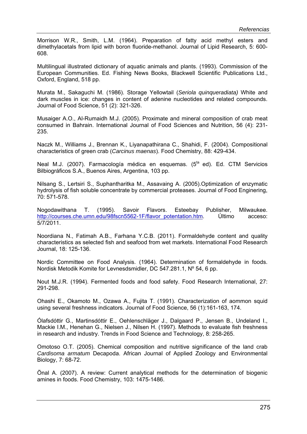Morrison W.R., Smith, L.M. (1964). Preparation of fatty acid methyl esters and dimethylacetals from lipid with boron fluoride-methanol. Journal of Lipid Research, 5: 600- 608.

Multilingual illustrated dictionary of aquatic animals and plants. (1993). Commission of the European Communities. Ed. Fishing News Books, Blackwell Scientific Publications Ltd., Oxford, England, 518 pp.

Murata M., Sakaguchi M. (1986). Storage Yellowtail (*Seriola quinqueradiata)* White and dark muscles in ice: changes in content of adenine nucleotides and related compounds. Journal of Food Science, 51 (2): 321-326.

Musaiger A.O., Al-Rumaidh M.J. (2005). Proximate and mineral composition of crab meat consumed in Bahrain. International Journal of Food Sciences and Nutrition, 56 (4): 231- 235.

Naczk M., Williams J., Brennan K., Liyanapathirana C., Shahidi, F. (2004). Compositional characteristics of green crab (*Carcinus maenas*). Food Chemistry, 88: 429-434.

Neal M.J. (2007). Farmacología médica en esquemas. (5<sup>ta</sup> ed). Ed. CTM Servicios Bilbiográficos S.A., Buenos Aires, Argentina, 103 pp.

Nilsang S., Lertsiri S., Suphantharitka M., Assavaing A. (2005).Optimization of enzymatic hydrolysis of fish soluble concentrate by commercial proteases. Journal of Food Enginering, 70: 571-578.

Nogodawithana T. (1995). Savoir Flavors. Esteebay Publisher, Milwaukee. http://courses.che.umn.edu/98fscn5562-1F/flavor\_potentation.htm. Último acceso: 5/7/2011.

Noordiana N., Fatimah A.B., Farhana Y.C.B. (2011). Formaldehyde content and quality characteristics as selected fish and seafood from wet markets. International Food Research Journal, 18: 125-136.

Nordic Committee on Food Analysis. (1964). Determination of formaldehyde in foods. Nordisk Metodik Komite for Levnesdsmidler, DC 547.281.1, Nº 54, 6 pp.

Nout M.J.R. (1994). Fermented foods and food safety. Food Research International, 27: 291-298.

Ohashi E., Okamoto M., Ozawa A., Fujita T. (1991). Characterization of aommon squid using several freshness indicators. Journal of Food Science, 56 (1):161-163, 174.

Ólafsdóttir G., Martinsdóttir E., Oehlenschläger J., Dalgaard P., Jensen B., Undeland I., Mackie I.M., Henehan G., Nielsen J., Nilsen H. (1997). Methods to evaluate fish freshness in research and industry. Trends in Food Science and Technology, 8: 258-265.

Omotoso O.T. (2005). Chemical composition and nutritive significance of the land crab *Cardisoma armatum* Decapoda. African Journal of Applied Zoology and Environmental Biology, 7: 68-72.

Önal A. (2007). A review: Current analytical methods for the determination of biogenic amines in foods. Food Chemistry, 103: 1475-1486.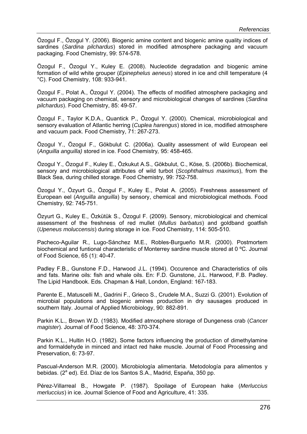Özogul F., Özogul Y. (2006). Biogenic amine content and biogenic amine quality indices of sardines (*Sardina pilchardus*) stored in modified atmosphere packaging and vacuum packaging. Food Chemistry, 99: 574-578.

Özogul F., Özogul Y., Kuley E. (2008). Nucleotide degradation and biogenic amine formation of wild white grouper (*Epinephelus aeneus*) stored in ice and chill temperature (4 °C). Food Chemistry, 108: 933-941.

Özogul F., Polat A., Özogul Y. (2004). The effects of modified atmosphere packaging and vacuum packaging on chemical, sensory and microbiological changes of sardines (*Sardina pilchardus*). Food Chemistry, 85: 49-57.

Özogul F., Taylor K.D.A., Quantick P., Özogul Y. (2000). Chemical, microbiological and sensory evaluation of Atlantic herring (*Cuplea harengus*) stored in ice, modified atmosphere and vacuum pack. Food Chemistry, 71: 267-273.

Özogul Y., Özogul F., Gökbulut C. (2006a). Quality assessment of wild European eel (*Anguilla anguilla)* stored in ice. Food Chemistry*,* 95: 458-465.

Özogul Y., Özogul F., Kuley E., Özkukut A.S., Gökbulut, C., Köse, S. (2006b). Biochemical, sensory and microbiological attributes of wild turbot (*Scophthalmus maximus*), from the Black Sea, during chilled storage. Food Chemistry, 99: 752-758.

Özogul Y., Özyurt G., Özogul F., Kuley E., Polat A. (2005). Freshness assessment of European eel (*Anguilla anguilla*) by sensory, chemical and microbiological methods. Food Chemistry, 92: 745-751.

Özyurt G., Kuley E., Özkütük S., Özogul F. (2009). Sensory, microbiological and chemical assessment of the freshness of red mullet (*Mullus barbatus*) and goldband goatfish (*Upeneus moluccensis*) during storage in ice. Food Chemistry, 114: 505-510.

Pacheco-Aguilar R., Lugo-Sánchez M.E., Robles-Burgueño M.R. (2000). Postmortem biochemical and funtional characteristic of Monterrey sardine muscle stored at 0 ºC. Journal of Food Science, 65 (1): 40-47.

Padley F.B., Gunstone F.D., Harwood J.L. (1994). Occurence and Characteristics of oils and fats. Marine oils: fish and whale oils. En: F.D. Gunstone, J.L. Harwood, F.B. Padley. The Lipid Handbook. Eds. Chapman & Hall, London, England: 167-183.

Parente E., Matuscelli M., Gadrini F., Grieco S., Crudele M.A., Suzzi G. (2001). Evolution of microbial populations and biogenic amines production in dry sausages produced in southern Italy. Journal of Applied Microbiology, 90: 882-891.

Parkin K.L., Brown W.D. (1983). Modified atmosphere storage of Dungeness crab (*Cancer magister*). Journal of Food Science, 48: 370-374.

Parkin K.L., Hultin H.O. (1982). Some factors influencing the production of dimethylamine and formaldehyde in minced and intact red hake muscle. Journal of Food Processing and Preservation, 6: 73-97.

Pascual-Anderson M.R. (2000). Microbiología alimentaria. Metodología para alimentos y bebidas. (2<sup>a</sup> ed). Ed. Díaz de los Santos S.A., Madrid, España, 350 pp.

Pérez-Villarreal B., Howgate P. (1987). Spoilage of European hake (*Merluccius merluccius*) in ice. Journal Science of Food and Agriculture, 41: 335.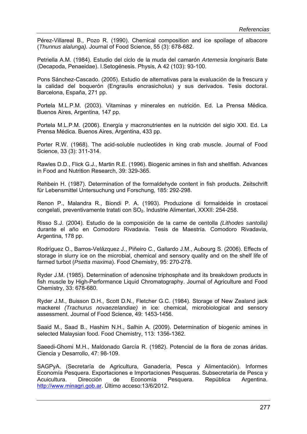Pérez-Villareal B., Pozo R. (1990). Chemical composition and ice spoilage of albacore (*Thunnus alalunga).* Journal of Food Science, 55 (3): 678-682.

Petriella A.M. (1984). Estudio del ciclo de la muda del camarón *Artemesia longinaris* Bate (Decapoda, Penaeidae). I.Setogénesis. Physis, A 42 (103): 93-100.

Pons Sánchez-Cascado. (2005). Estudio de alternativas para la evaluación de la frescura y la calidad del boquerón (Engraulis encrasicholus) y sus derivados. Tesis doctoral. Barcelona, España, 271 pp.

Portela M.L.P.M. (2003). Vitaminas y minerales en nutrición. Ed. La Prensa Médica. Buenos Aires, Argentina, 147 pp.

Portela M.L.P.M. (2006). Energía y macronutrientes en la nutrición del siglo XXI. Ed. La Prensa Médica. Buenos Aires, Argentina, 433 pp.

Porter R.W. (1968). The acid-soluble nucleotides in king crab muscle. Journal of Food Science, 33 (3): 311-314.

Rawles D.D., Flick G.J., Martin R.E. (1996). Biogenic amines in fish and shellfish. Advances in Food and Nutrition Research, 39: 329-365.

Rehbein H. (1987). Determination of the formaldehyde content in fish products. Zeitschrift für Lebensmittel Untersuchung und Forschung, 185: 292-298.

Renon P., Malandra R., Biondi P. A. (1993). Produzione di formaldeide in crostacei congelati, preventivamente tratati con SO<sub>2</sub>. Industrie Alimentari, XXXII: 254-258.

Risso S.J. (2004). Estudio de la composición de la carne de centolla *(Lithodes santolla)*  durante el año en Comodoro Rivadavia. Tesis de Maestría. Comodoro Rivadavia, Argentina, 178 pp.

Rodríguez O., Barros-Velázquez J., Piñeiro C., Gallardo J.M., Aubourg S. (2006). Effects of storage in slurry ice on the microbial, chemical and sensory quality and on the shelf life of farmed turbot (*Psetta maxima*). Food Chemistry, 95: 270-278.

Ryder J.M. (1985). Determination of adenosine triphosphate and its breakdown products in fish muscle by High-Performance Liquid Chromatography. Journal of Agriculture and Food Chemistry, 33: 678-680.

Ryder J.M., Buisson D.H., Scott D.N., Fletcher G.C. (1984). Storage of New Zealand jack mackerel *(Trachurus novaezelandiae)* in ice: chemical, microbiological and sensory assessment. Journal of Food Science, 49: 1453-1456.

Saaid M., Saad B., Hashim N.H., Salhin A. (2009). Determination of biogenic amines in selected Malaysian food. Food Chemistry, 113: 1356-1362.

Saeedi-Ghomi M.H., Maldonado García R. (1982). Potencial de la flora de zonas áridas. Ciencia y Desarrollo, 47: 98-109.

SAGPyA. (Secretaría de Agricultura, Ganadería, Pesca y Alimentación). Informes Economía Pesquera. Exportaciones e Importaciones Pesqueras. Subsecretaría de Pesca y Acuicultura. Dirección de Economía Pesquera. República Argentina. http://www.minagri.gob.ar. Último acceso:13/6/2012.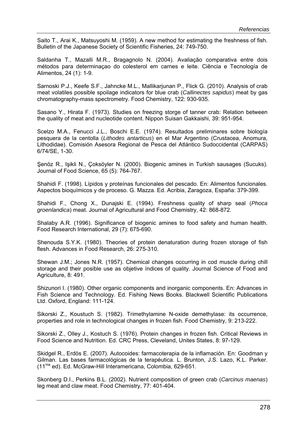Saito T., Arai K., Matsuyoshi M. (1959). A new method for estimating the freshness of fish. Bulletin of the Japanese Society of Scientific Fisheries, 24: 749-750.

Saldanha T., Mazalli M.R., Bragagnolo N. (2004). Avaliação comparativa entre dois métodos para determinaçao do colesterol em carnes e leite. Ciência e Tecnología de Alimentos, 24 (1): 1-9.

Sarnoski P.J., Keefe S.F., Jahncke M.L., Mallikarjunan P., Flick G. (2010). Analysis of crab meat volatiles possible spoilage indicators for blue crab (*Callinectes sapidus*) meat by gas chromatography-mass spectrometry. Food Chemistry, 122: 930-935.

Sasano Y., Hirata F. (1973). Studies on freezing storge of tanner crab: Relation between the quality of meat and nucleotide content. Nippon Suisan Gakkaishi, 39: 951-954.

Scelzo M.A., Fenucci J.L., Boschi E.E. (1974). Resultados preliminares sobre biología pesquera de la centolla (*Lithodes antarticus*) en el Mar Argentino (Crustacea, Anomura, Lithodidae). Comisión Asesora Regional de Pesca del Atlántico Sudoccidental (CARPAS) 6/74/SE, 1-30.

Şenöz R., Işikli N., Çoksöyler N. (2000). Biogenic amines in Turkish sausages (Sucuks). Journal of Food Science, 65 (5): 764-767.

Shahidi F. (1998). Lípidos y proteínas funcionales del pescado. En: Alimentos funcionales. Aspectos bioquímicos y de proceso. G. Mazza. Ed. Acribia, Zaragoza, España: 379-399.

Shahidi F., Chong X., Dunajski E. (1994). Freshness quality of sharp seal (*Phoca groenlandica*) meat. Journal of Agricultural and Food Chemistry, 42: 868-872.

Shalaby A.R. (1996). Significance of biogenic amines to food safety and human health. Food Research International, 29 (7): 675-690.

Shenouda S.Y.K. (1980). Theories of protein denaturation during frozen storage of fish flesh. Advances in Food Research, 26: 275-310.

Shewan J.M.; Jones N.R. (1957). Chemical changes occurring in cod muscle during chill storage and their posible use as objetive índices of quality. Journal Science of Food and Agriculture, 8: 491.

Shizunori I. (1980). Other organic components and inorganic components. En: Advances in Fish Science and Technology. Ed. Fishing News Books. Blackwell Scientific Publications Ltd. Oxford, England: 111-124.

Sikorski Z., Koustuch S. (1982). Trimethylamine N-oxide demethylase: its occurrence, properties and role in technological changes in frozen fish. Food Chemistry, 9: 213-222.

Sikorski Z., Olley J., Kostuch S. (1976). Protein changes in frozen fish. Critical Reviews in Food Science and Nutrition. Ed. CRC Press, Cleveland, Unites States, 8: 97-129.

Skidgel R., Erdös E. (2007). Autocoides: farmacoterapia de la inflamación. En: Goodman y Gilman. Las bases farmacológicas de la terapéutica. L. Brunton, J.S. Lazo, K.L. Parker. (11ma ed). Ed. McGraw-Hill Interamericana, Colombia, 629-651.

Skonberg D.I., Perkins B.L. (2002). Nutrient composition of green crab (*Carcinus maenas*) leg meat and claw meat. Food Chemistry, 77: 401-404.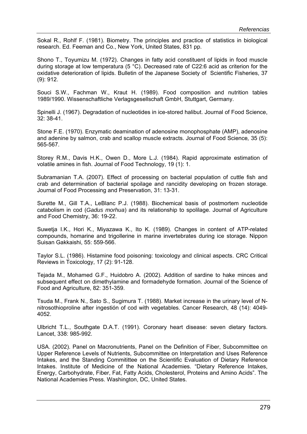Sokal R., Rohlf F. (1981). Biometry. The principles and practice of statistics in biological research. Ed. Feeman and Co., New York, United States, 831 pp.

Shono T., Toyumizu M. (1972). Changes in fatty acid constituent of lipids in food muscle during storage at low temperatura (5 °C). Decreased rate of C22:6 acid as criterion for the oxidative deterioration of lipids. Bulletin of the Japanese Society of Scientific Fisheries, 37 (9): 912.

Souci S.W., Fachman W., Kraut H. (1989). Food composition and nutrition tables 1989/1990. Wissenschaftliche Verlagsgesellschaft GmbH, Stuttgart, Germany.

Spinelli J. (1967). Degradation of nucleotides in ice-stored halibut. Journal of Food Science, 32: 38-41.

Stone F.E. (1970). Enzymatic deamination of adenosine monophosphate (AMP), adenosine and adenine by salmon, crab and scallop muscle extracts. Journal of Food Science*,* 35 (5): 565-567.

Storey R.M., Davis H.K., Owen D., More L.J. (1984). Rapid approximate estimation of volatile amines in fish. Journal of Food Technology, 19 (1): 1.

Subramanian T.A. (2007). Effect of processing on bacterial population of cuttle fish and crab and determination of bacterial spoilage and rancidity developing on frozen storage. Journal of Food Processing and Preservation, 31: 13-31.

Surette M., Gill T.A., LeBlanc P.J. (1988). Biochemical basis of postmortem nucleotide catabolism in cod (*Gadus morhua*) and its relationship to spolilage. Journal of Agriculture and Food Chemistry, 36: 19-22.

Suwetja I.K., Hori K., Miyazawa K., Ito K. (1989). Changes in content of ATP-related compounds, homarine and trigollerine in marine invertebrates during ice storage. Nippon Suisan Gakkaishi, 55: 559-566.

Taylor S.L. (1986). Histamine food poisoning: toxicology and clinical aspects. CRC Critical Reviews in Toxicology, 17 (2): 91-128.

Tejada M., Mohamed G.F., Huidobro A. (2002). Addition of sardine to hake minces and subsequent effect on dimethylamine and formadehyde formation. Journal of the Science of Food and Agriculture, 82: 351-359.

Tsuda M., Frank N., Sato S., Sugimura T. (1988). Market increase in the urinary level of Nnitrosothioproline after ingestión of cod with vegetables. Cancer Research, 48 (14): 4049- 4052.

Ulbricht T.L., Southgate D.A.T. (1991). Coronary heart disease: seven dietary factors. Lancet, 338: 985-992.

USA. (2002). Panel on Macronutrients, Panel on the Definition of Fiber, Subcommittee on Upper Reference Levels of Nutrients, Subcommittee on Interpretation and Uses Reference Intakes, and the Standing Commitittee on the Scientific Evaluation of Dietary Reference Intakes. Institute of Medicine of the National Academies. "Dietary Reference Intakes, Energy, Carbohydrate, Fiber, Fat, Fatty Acids, Cholesterol, Proteins and Amino Acids". The National Academies Press. Washington, DC, United States.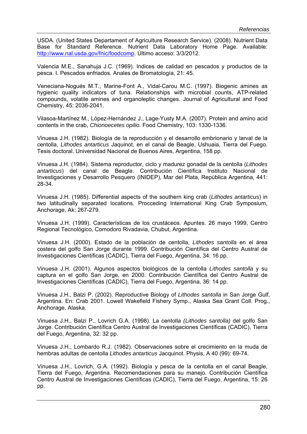USDA. (United States Departament of Agriculture Research Service). (2008). Nutrient Data Base for Standard Reference. Nutrient Data Laboratory Home Page. Available: http://www.nal.usda.gov/fnic/foodcomp. Último acceso: 3/3/2012.

Valencia M.E., Sanahuja J.C. (1969). Indices de calidad en pescados y productos de la pesca. I. Pescados enfriados. Anales de Bromatología, 21: 45.

Veneciana-Nogués M.T., Marine-Font A., Vidal-Carou M.C. (1997). Biogenic amines as hygienic quality indicators of tuna. Relationships with microbial counts, ATP-related compounds, volatile amines and organoleptic changes. Journal of Agricultural and Food Chemistry, 45: 2036-2041.

Vilasoa-Martínez M., López-Hernández J., Lage-Yusty M.A. (2007). Protein and amino acid contents in the crab, *Chionoecetes opilio.* Food Chemistry, 103: 1330-1336.

Vinuesa J.H. (1982). Biología de la reproducción y el desarrollo embrionario y larval de la centolla, *Lithodes antarticus* Jaquinot, en el canal de Beagle, Ushuaia, Tierra del Fuego. Tesis doctoral. Universidad Nacional de Buenos Aires, Argentina, 158 pp.

Vinuesa J.H. (1984). Sistema reproductor, ciclo y madurez gonadal de la centolla (*Lithodes antarticus*) del canal de Beagle. Contribución Científica Instituto Nacional de Investigaciones y Desarrollo Pesquero (INIDEP), Mar del Plata, República Argentina, 441: 28-34.

Vinuesa J.H. (1985). Differential aspects of the southern king crab (*Lithodes antarticus*) in two latitudinally separated locations. Procceding International King Crab Symposium, Anchorage, Ak: 267-279.

Vinuesa J.H. (1999). Características de los crustáceos. Apuntes. 26 mayo 1999, Centro Regional Tecnológico, Comodoro Rivadavia, Chubut, Argentina.

Vinuesa J.H. (2000). Estado de la población de centolla, *Lithodes santolla* en el área costera del golfo San Jorge durante 1999. Contribución Científica del Centro Austral de Investigaciones Científicas (CADIC), Tierra del Fuego, Argentina, 34: 16 pp.

Vinuesa J.H. (2001). Algunos aspectos biológicos de la centolla *Lithodes santolla* y su captura en el golfo San Jorge, en 2000. Contribución Científica del Centro Austral de Investigaciones Científicas (CADIC), Tierra del Fuego, Argentina, 36: 14 pp.

Vinuesa J.H., Balzi P. (2002). Reproductive Biology of *Lithodes santolla* in San Jorge Gulf, Argentina. En: Crab 2001. Lowell Wakefield Fishery Symp., Alaska Sea Grant Coll. Prog., Anchorage, Alaska.

Vinuesa J.H., Balzi P., Lovrich G.A. (1998). La centolla *(Lithodes santolla)* del golfo San Jorge. Contribución Científica Centro Austral de Investigaciones Científicas (CADIC), Tierra del Fuego, Argentina, 32: 32 pp.

Vinuesa J.H., Lombardo R.J. (1982). Observaciones sobre el crecimiento en la muda de hembras adultas de centolla *Lithodes antarticus* Jacquinot. Physis, A 40 (99): 69-74.

Vinuesa J.H., Lovrich, G.A. (1992). Biología y pesca de la centolla en el canal Beagle, Tierra del Fuego, Argentina. Recomendaciones para su manejo. Contribución Científica Centro Austral de Investigaciones Científicas (CADIC), Tierra del Fuego, Argentina, 15: 26 pp.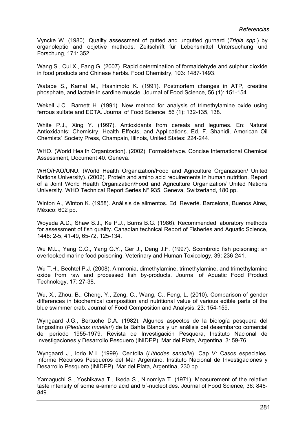Vyncke W. (1980). Quality assessment of gutted and ungutted gurnard (*Trigla spp.*) by organoleptic and objetive methods. Zeitschrift für Lebensmittel Untersuchung und Forschung, 171: 352.

Wang S., Cui X., Fang G. (2007). Rapid determination of formaldehyde and sulphur dioxide in food products and Chinese herbls. Food Chemistry, 103: 1487-1493.

Watabe S., Kamal M., Hashimoto K. (1991). Postmortem changes in ATP, creatine phosphate, and lactate in sardine muscle. Journal of Food Science, 56 (1): 151-154.

Wekell J.C., Barnett H. (1991). New method for analysis of trimethylamine oxide using ferrous sulfate and EDTA. Journal of Food Science, 56 (1): 132-135, 138.

White P.J., Xing Y. (1997). Antioxidants from cereals and legumes. En: Natural Antioxidants: Chemistry, Health Effects, and Applications. Ed. F. Shahidi, American Oil Chemists´ Society Press, Champain, Illinois, United States: 224-244.

WHO. (World Health Organization). (2002). Formaldehyde. Concise International Chemical Assessment, Document 40. Geneva.

WHO/FAO/UNU. (World Health Organization/Food and Agriculture Organization/ United Nations University). (2002). Protein and amino acid requirements in human nutrition. Report of a Joint World Health Organization/Food and Agriculture Organization/ United Nations University. WHO Technical Report Series N° 935. Geneva, Switzerland, 180 pp.

Winton A., Winton K. (1958). Análisis de alimentos. Ed. Reverté. Barcelona, Buenos Aires, México: 602 pp.

Woyeda A.D., Shaw S.J., Ke P.J., Burns B.G. (1986). Recommended laboratory methods for assessment of fish quality. Canadian technical Report of Fisheries and Aquatic Science, 1448: 2-5, 41-49, 65-72, 125-134.

Wu M.L., Yang C.C., Yang G.Y., Ger J., Deng J.F. (1997). Scombroid fish poisoning: an overlooked marine food poisoning. Veterinary and Human Toxicology, 39: 236-241.

Wu T.H., Bechtel P.J. (2008). Ammonia, dimethylamine, trimethylamine, and trimethylamine oxide from raw and processed fish by-products. Journal of Aquatic Food Product Technology, 17: 27-38.

Wu, X., Zhou, B., Cheng, Y., Zeng, C., Wang, C., Feng, L. (2010). Comparison of gender differences in biochemical composition and nutritional value of various edible parts of the blue swimmer crab. Journal of Food Composition and Analysis, 23: 154-159.

Wyngaard J.G., Bertuche D.A. (1982). Algunos aspectos de la biología pesquera del langostino (*Pleoticus muelleri*) de la Bahía Blanca y un análisis del desembarco comercial del período 1955-1979. Revista de Investigación Pesquera, Instituto Nacional de Investigaciones y Desarrollo Pesquero (INIDEP), Mar del Plata, Argentina, 3: 59-76.

Wyngaard J., Iorio M.I. (1999). Centolla (*Lithodes santolla*). Cap V: Casos especiales. Informe Recursos Pesqueros del Mar Argentino. Instituto Nacional de Investigaciones y Desarrollo Pesquero (INIDEP), Mar del Plata, Argentina, 230 pp.

Yamaguchi S., Yoshikawa T., Ikeda S., Ninomiya T. (1971). Measurement of the relative taste intensity of some a-amino acid and 5´-nucleotides. Journal of Food Science, 36: 846- 849.